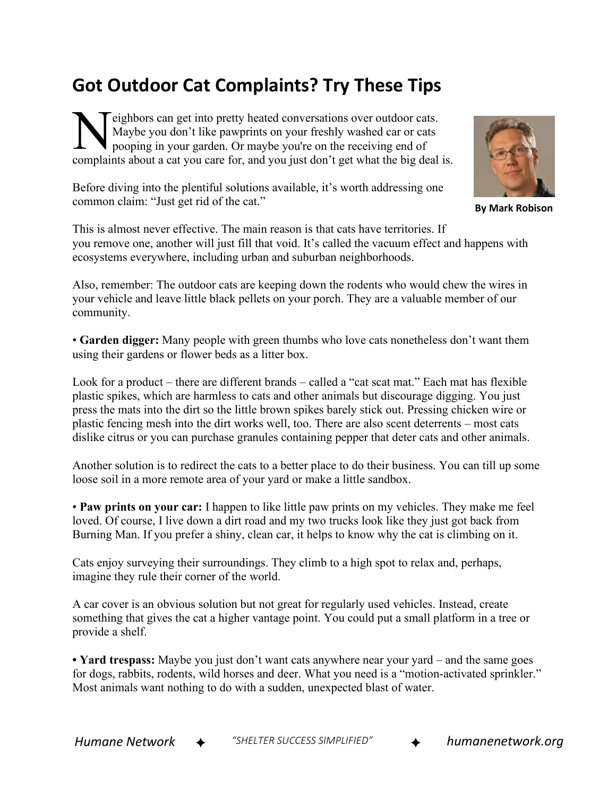## **Got Outdoor Cat Complaints? Try These Tips**

eighbors can get into pretty heated conversations over outdoor cats. Maybe you don't like pawprints on your freshly washed car or cats pooping in your garden. Or maybe you're on the receiving end of **Example 18 Set Solution** and the payprints about a cat you care for, and you just don't get what the big deal is.

Before diving into the plentiful solutions available, it's worth addressing one common claim: "Just get rid of the cat."



Also, remember: The outdoor cats are keeping down the rodents who would chew the wires in your vehicle and leave little black pellets on your porch. They are a valuable member of our community.

• **Garden digger:** Many people with green thumbs who love cats nonetheless don't want them using their gardens or flower beds as a litter box.

Look for a product – there are different brands – called a "cat scat mat." Each mat has flexible plastic spikes, which are harmless to cats and other animals but discourage digging. You just press the mats into the dirt so the little brown spikes barely stick out. Pressing chicken wire or plastic fencing mesh into the dirt works well, too. There are also scent deterrents – most cats dislike citrus or you can purchase granules containing pepper that deter cats and other animals.

Another solution is to redirect the cats to a better place to do their business. You can till up some loose soil in a more remote area of your yard or make a little sandbox.

• **Paw prints on your car:** I happen to like little paw prints on my vehicles. They make me feel loved. Of course, I live down a dirt road and my two trucks look like they just got back from Burning Man. If you prefer a shiny, clean car, it helps to know why the cat is climbing on it.

Cats enjoy surveying their surroundings. They climb to a high spot to relax and, perhaps, imagine they rule their corner of the world.

A car cover is an obvious solution but not great for regularly used vehicles. Instead, create something that gives the cat a higher vantage point. You could put a small platform in a tree or provide a shelf.

**• Yard trespass:** Maybe you just don't want cats anywhere near your yard – and the same goes for dogs, rabbits, rodents, wild horses and deer. What you need is a "motion-activated sprinkler." Most animals want nothing to do with a sudden, unexpected blast of water.



**By Mark Robison**